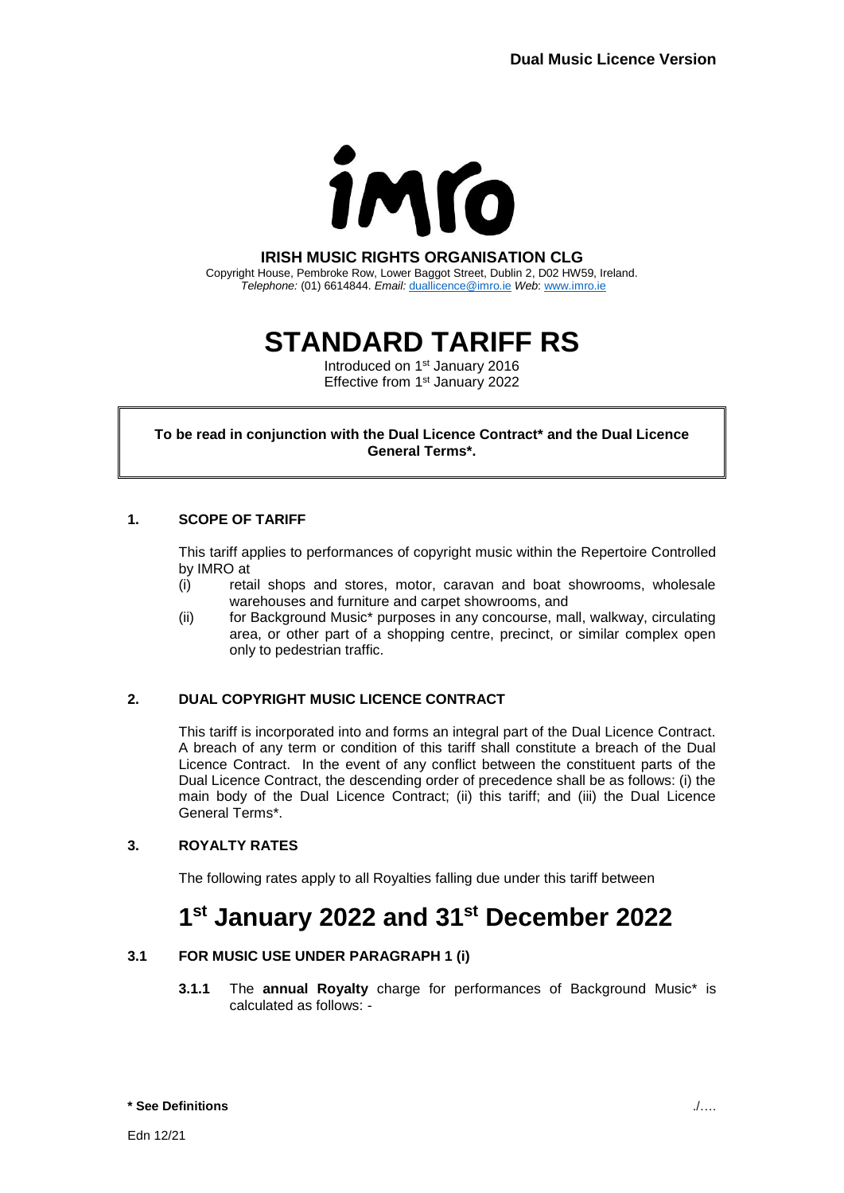

## **IRISH MUSIC RIGHTS ORGANISATION CLG**

Copyright House, Pembroke Row, Lower Baggot Street, Dublin 2, D02 HW59, Ireland. *Telephone:* (01) 6614844. *Email:* [duallicence@imro.ie](mailto:duallicence@imro.ie) *Web*: [www.imro.ie](http://www.imro.ie/)

# **STANDARD TARIFF RS**

Introduced on 1<sup>st</sup> January 2016 Effective from 1<sup>st</sup> January 2022

**To be read in conjunction with the Dual Licence Contract\* and the Dual Licence General Terms\*.**

## **1. SCOPE OF TARIFF**

This tariff applies to performances of copyright music within the Repertoire Controlled by IMRO at

- (i) retail shops and stores, motor, caravan and boat showrooms, wholesale warehouses and furniture and carpet showrooms, and
- (ii) for Background Music\* purposes in any concourse, mall, walkway, circulating area, or other part of a shopping centre, precinct, or similar complex open only to pedestrian traffic.

## **2. DUAL COPYRIGHT MUSIC LICENCE CONTRACT**

This tariff is incorporated into and forms an integral part of the Dual Licence Contract. A breach of any term or condition of this tariff shall constitute a breach of the Dual Licence Contract. In the event of any conflict between the constituent parts of the Dual Licence Contract, the descending order of precedence shall be as follows: (i) the main body of the Dual Licence Contract; (ii) this tariff; and (iii) the Dual Licence General Terms\*.

## **3. ROYALTY RATES**

The following rates apply to all Royalties falling due under this tariff between

## **1 st January 2022 and 31st December 2022**

#### **3.1 FOR MUSIC USE UNDER PARAGRAPH 1 (i)**

**3.1.1** The **annual Royalty** charge for performances of Background Music\* is calculated as follows: -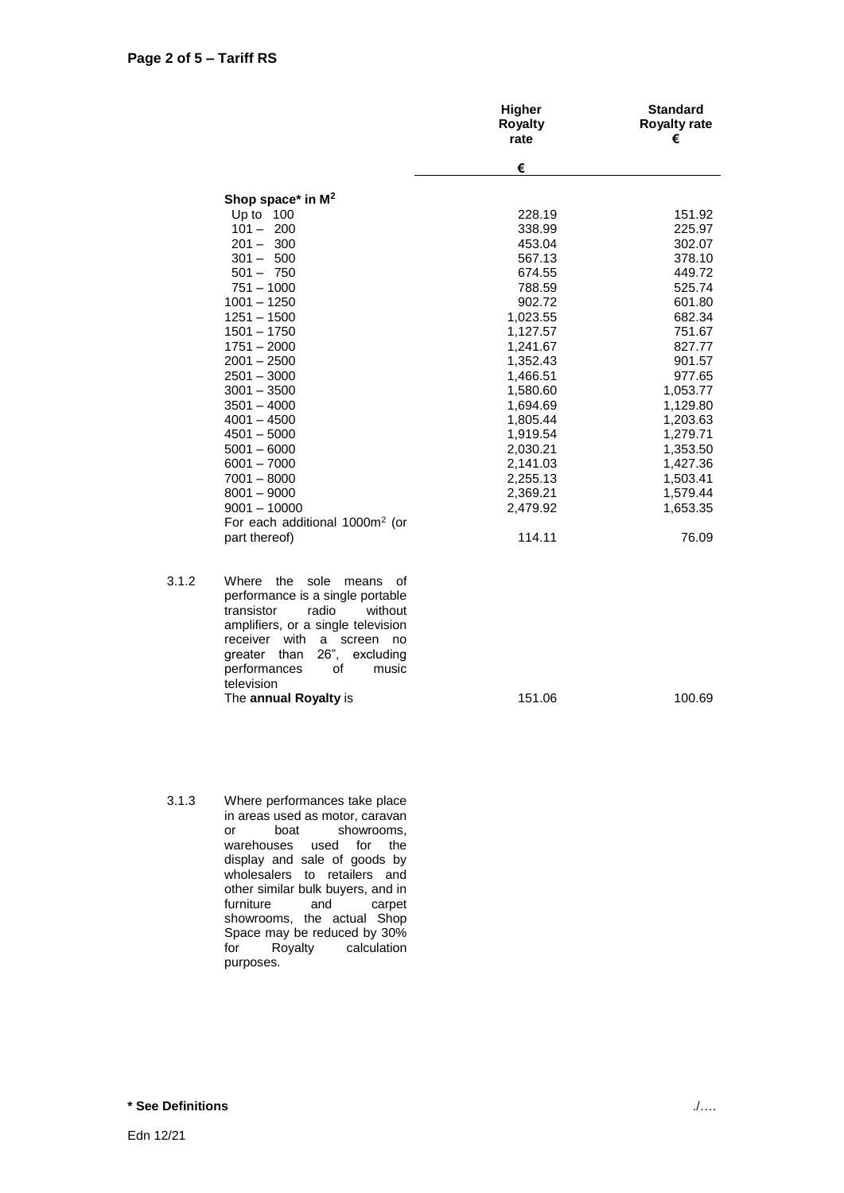|       |                                                                                                                                                                                                                                                  | <b>Higher</b><br><b>Royalty</b><br>rate | <b>Standard</b><br><b>Royalty rate</b><br>€ |
|-------|--------------------------------------------------------------------------------------------------------------------------------------------------------------------------------------------------------------------------------------------------|-----------------------------------------|---------------------------------------------|
|       |                                                                                                                                                                                                                                                  | €                                       |                                             |
|       | Shop space* in $M^2$                                                                                                                                                                                                                             |                                         |                                             |
|       | Up to 100                                                                                                                                                                                                                                        | 228.19                                  | 151.92                                      |
|       | $101 - 200$                                                                                                                                                                                                                                      | 338.99                                  | 225.97                                      |
|       | $201 - 300$                                                                                                                                                                                                                                      | 453.04                                  | 302.07                                      |
|       | $301 - 500$                                                                                                                                                                                                                                      | 567.13                                  | 378.10                                      |
|       | $501 - 750$                                                                                                                                                                                                                                      | 674.55                                  | 449.72                                      |
|       | $751 - 1000$                                                                                                                                                                                                                                     | 788.59                                  | 525.74                                      |
|       | $1001 - 1250$                                                                                                                                                                                                                                    | 902.72                                  | 601.80                                      |
|       | $1251 - 1500$                                                                                                                                                                                                                                    | 1,023.55                                | 682.34                                      |
|       | $1501 - 1750$                                                                                                                                                                                                                                    | 1,127.57                                | 751.67                                      |
|       | $1751 - 2000$                                                                                                                                                                                                                                    | 1,241.67                                | 827.77                                      |
|       | $2001 - 2500$                                                                                                                                                                                                                                    | 1,352.43                                | 901.57                                      |
|       | $2501 - 3000$                                                                                                                                                                                                                                    | 1,466.51                                | 977.65                                      |
|       | $3001 - 3500$                                                                                                                                                                                                                                    | 1,580.60                                | 1,053.77                                    |
|       | $3501 - 4000$                                                                                                                                                                                                                                    | 1,694.69                                | 1,129.80                                    |
|       | $4001 - 4500$                                                                                                                                                                                                                                    | 1,805.44                                | 1,203.63                                    |
|       | $4501 - 5000$                                                                                                                                                                                                                                    | 1,919.54                                | 1,279.71                                    |
|       | $5001 - 6000$                                                                                                                                                                                                                                    | 2,030.21                                | 1,353.50                                    |
|       | $6001 - 7000$                                                                                                                                                                                                                                    | 2,141.03                                | 1,427.36                                    |
|       | $7001 - 8000$                                                                                                                                                                                                                                    | 2,255.13                                | 1,503.41                                    |
|       | $8001 - 9000$                                                                                                                                                                                                                                    | 2,369.21                                | 1,579.44                                    |
|       | $9001 - 10000$                                                                                                                                                                                                                                   | 2,479.92                                | 1,653.35                                    |
|       | For each additional 1000m <sup>2</sup> (or                                                                                                                                                                                                       |                                         |                                             |
|       | part thereof)                                                                                                                                                                                                                                    | 114.11                                  | 76.09                                       |
| 3.1.2 | the sole means<br>Where<br>of<br>performance is a single portable<br>radio<br>transistor<br>without<br>amplifiers, or a single television<br>receiver with<br>a<br>screen no<br>26",<br>greater than<br>excluding<br>performances<br>οf<br>music |                                         |                                             |
|       | television                                                                                                                                                                                                                                       |                                         |                                             |
|       | The annual Royalty is                                                                                                                                                                                                                            | 151.06                                  | 100.69                                      |

3.1.3 Where performances take place in areas used as motor, caravan or boat showrooms, warehouses used for the display and sale of goods by wholesalers to retailers and other similar bulk buyers, and in furniture and carpet showrooms, the actual Shop Space may be reduced by 30% for Royalty calculation purposes.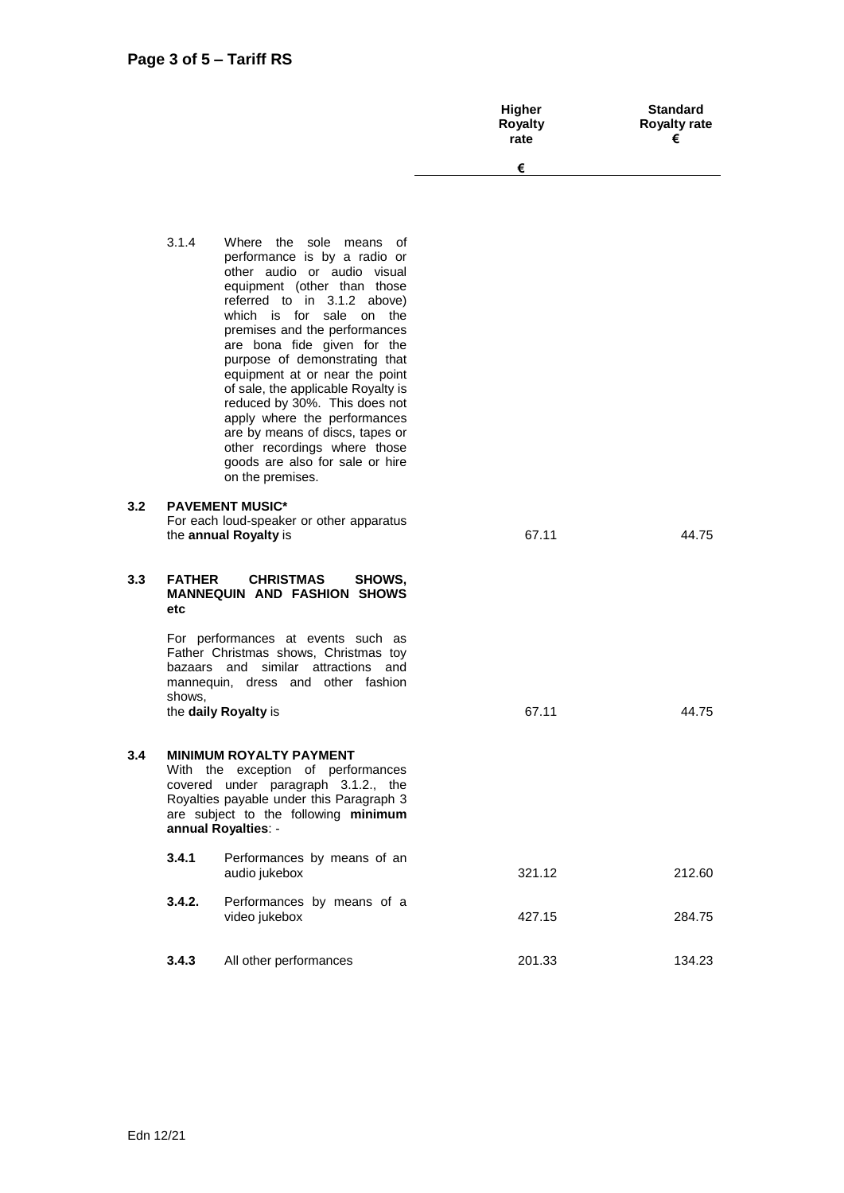|     |               |                                                                                                                                                                                                                                                                                                                                                                                                                                                                                                                                                      | Higher<br><b>Royalty</b><br>rate | <b>Standard</b><br><b>Royalty rate</b><br>€ |
|-----|---------------|------------------------------------------------------------------------------------------------------------------------------------------------------------------------------------------------------------------------------------------------------------------------------------------------------------------------------------------------------------------------------------------------------------------------------------------------------------------------------------------------------------------------------------------------------|----------------------------------|---------------------------------------------|
|     |               |                                                                                                                                                                                                                                                                                                                                                                                                                                                                                                                                                      | €                                |                                             |
|     | 3.1.4         | Where the sole means of<br>performance is by a radio or<br>other audio or audio visual<br>equipment (other than those<br>referred to in 3.1.2 above)<br>which is for sale on the<br>premises and the performances<br>are bona fide given for the<br>purpose of demonstrating that<br>equipment at or near the point<br>of sale, the applicable Royalty is<br>reduced by 30%. This does not<br>apply where the performances<br>are by means of discs, tapes or<br>other recordings where those<br>goods are also for sale or hire<br>on the premises. |                                  |                                             |
| 3.2 |               | <b>PAVEMENT MUSIC*</b><br>For each loud-speaker or other apparatus<br>the annual Royalty is                                                                                                                                                                                                                                                                                                                                                                                                                                                          | 67.11                            | 44.75                                       |
| 3.3 | <b>FATHER</b> | <b>CHRISTMAS</b><br>SHOWS.<br>MANNEOUIN AND EASHION SHOWS                                                                                                                                                                                                                                                                                                                                                                                                                                                                                            |                                  |                                             |

**MANNEQUIN AND FASHION SHOWS etc**

> For performances at events such as Father Christmas shows, Christmas toy bazaars and similar attractions and mannequin, dress and other fashion shows, the **daily Royalty** is 67.11 67.11 44.75

#### **3.4 MINIMUM ROYALTY PAYMENT**  With the exception of performances covered under paragraph 3.1.2., the Royalties payable under this Paragraph 3 are subject to the following **minimum annual Royalties**: -

| 3.4.1  | Performances by means of an<br>audio jukebox | 321.12 | 212.60 |
|--------|----------------------------------------------|--------|--------|
| 3.4.2. | Performances by means of a<br>video jukebox  | 427.15 | 284.75 |
| 3.4.3  | All other performances                       | 201.33 | 134.23 |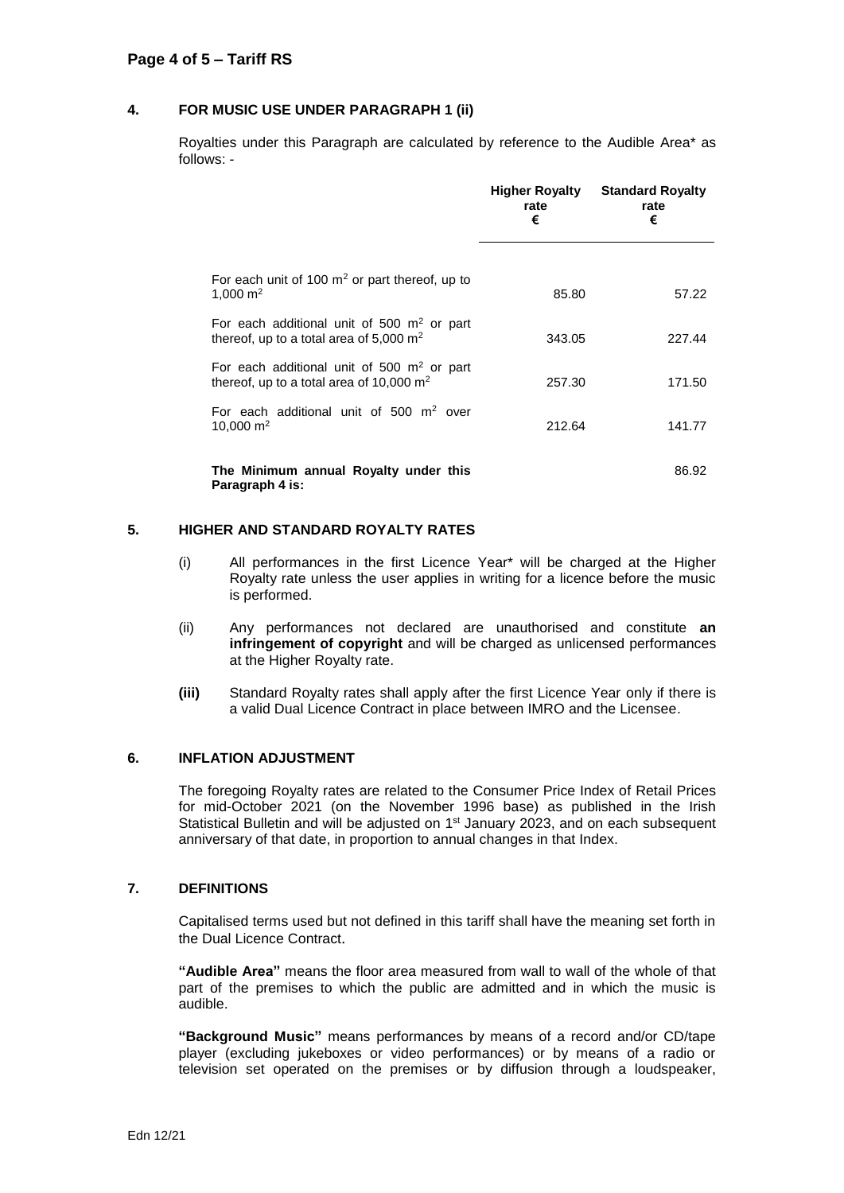### **4. FOR MUSIC USE UNDER PARAGRAPH 1 (ii)**

Royalties under this Paragraph are calculated by reference to the Audible Area\* as follows: -

|                                                                                                      | <b>Higher Royalty</b><br>rate<br>€ | <b>Standard Royalty</b><br>rate<br>€ |
|------------------------------------------------------------------------------------------------------|------------------------------------|--------------------------------------|
| For each unit of 100 $m2$ or part thereof, up to<br>1,000 $m2$                                       | 85.80                              | 57.22                                |
| For each additional unit of 500 $m2$ or part<br>thereof, up to a total area of 5,000 $m2$            | 343.05                             | 227.44                               |
| For each additional unit of 500 $m2$ or part<br>thereof, up to a total area of 10,000 $\mathrm{m}^2$ | 257.30                             | 171.50                               |
| For each additional unit of 500 $m2$ over<br>10,000 $m2$                                             | 212.64                             | 141.77                               |
| The Minimum annual Royalty under this<br>Paragraph 4 is:                                             |                                    | 86.92                                |

#### **5. HIGHER AND STANDARD ROYALTY RATES**

- (i) All performances in the first Licence Year\* will be charged at the Higher Royalty rate unless the user applies in writing for a licence before the music is performed.
- (ii) Any performances not declared are unauthorised and constitute **an infringement of copyright** and will be charged as unlicensed performances at the Higher Royalty rate.
- **(iii)** Standard Royalty rates shall apply after the first Licence Year only if there is a valid Dual Licence Contract in place between IMRO and the Licensee.

#### **6. INFLATION ADJUSTMENT**

The foregoing Royalty rates are related to the Consumer Price Index of Retail Prices for mid-October 2021 (on the November 1996 base) as published in the Irish Statistical Bulletin and will be adjusted on  $1<sup>st</sup>$  January 2023, and on each subsequent anniversary of that date, in proportion to annual changes in that Index.

#### **7. DEFINITIONS**

Capitalised terms used but not defined in this tariff shall have the meaning set forth in the Dual Licence Contract.

**"Audible Area"** means the floor area measured from wall to wall of the whole of that part of the premises to which the public are admitted and in which the music is audible.

**"Background Music"** means performances by means of a record and/or CD/tape player (excluding jukeboxes or video performances) or by means of a radio or television set operated on the premises or by diffusion through a loudspeaker,